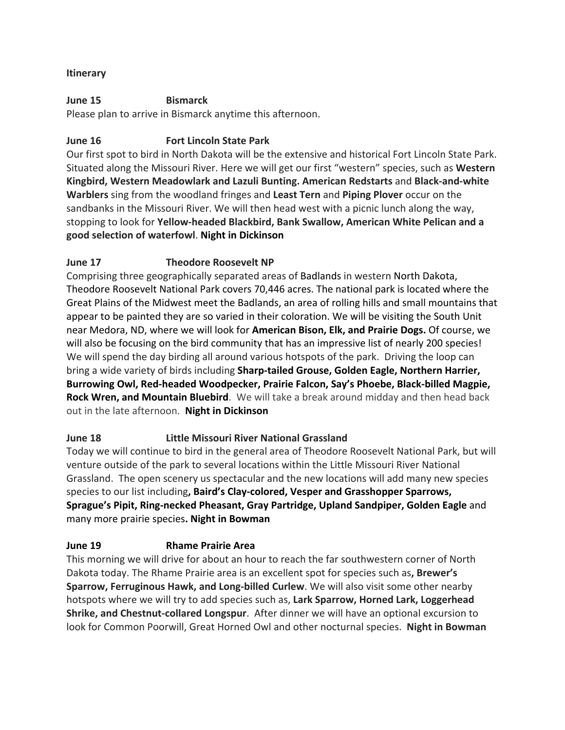## **Itinerary**

#### **June 15 Bismarck**

Please plan to arrive in Bismarck anytime this afternoon.

#### **June 16 Fort Lincoln State Park**

Our first spot to bird in North Dakota will be the extensive and historical Fort Lincoln State Park. Situated along the Missouri River. Here we will get our first "western" species, such as **Western Kingbird, Western Meadowlark and Lazuli Bunting. American Redstarts** and **Black-and-white Warblers** sing from the woodland fringes and **Least Tern** and **Piping Plover** occur on the sandbanks in the Missouri River. We will then head west with a picnic lunch along the way, stopping to look for **Yellow-headed Blackbird, Bank Swallow, American White Pelican and a good selection of waterfowl**. **Night in Dickinson**

## **June 17 Theodore Roosevelt NP**

Comprising three geographically separated areas of [Badlands](https://en.wikipedia.org/wiki/Badlands) in western North Dakota, Theodore Roosevelt National Park covers 70,446 acres. The national park is located where the Great Plains of the Midwest meet the Badlands, an area of rolling hills and small mountains that appear to be painted they are so varied in their coloration. We will be visiting the South Unit near Medora, ND, where we will look for **American Bison, Elk, and Prairie Dogs.** Of course, we will also be focusing on the bird community that has an impressive list of nearly 200 species! We will spend the day birding all around various hotspots of the park. Driving the loop can bring a wide variety of birds including **Sharp-tailed Grouse, Golden Eagle, Northern Harrier, Burrowing Owl, Red-headed Woodpecker, Prairie Falcon, Say's Phoebe, Black-billed Magpie, Rock Wren, and Mountain Bluebird**. We will take a break around midday and then head back out in the late afternoon. **Night in Dickinson**

## **June 18 Little Missouri River National Grassland**

Today we will continue to bird in the general area of Theodore Roosevelt National Park, but will venture outside of the park to several locations within the Little Missouri River National Grassland. The open scenery us spectacular and the new locations will add many new species species to our list including**, Baird's Clay-colored, Vesper and Grasshopper Sparrows, Sprague's Pipit, Ring-necked Pheasant, Gray Partridge, Upland Sandpiper, Golden Eagle** and many more prairie species**. Night in Bowman**

## **June 19 Rhame Prairie Area**

This morning we will drive for about an hour to reach the far southwestern corner of North Dakota today. The Rhame Prairie area is an excellent spot for species such as**, Brewer's Sparrow, Ferruginous Hawk, and Long-billed Curlew**. We will also visit some other nearby hotspots where we will try to add species such as, **Lark Sparrow, Horned Lark, Loggerhead Shrike, and Chestnut-collared Longspur**. After dinner we will have an optional excursion to look for Common Poorwill, Great Horned Owl and other nocturnal species. **Night in Bowman**